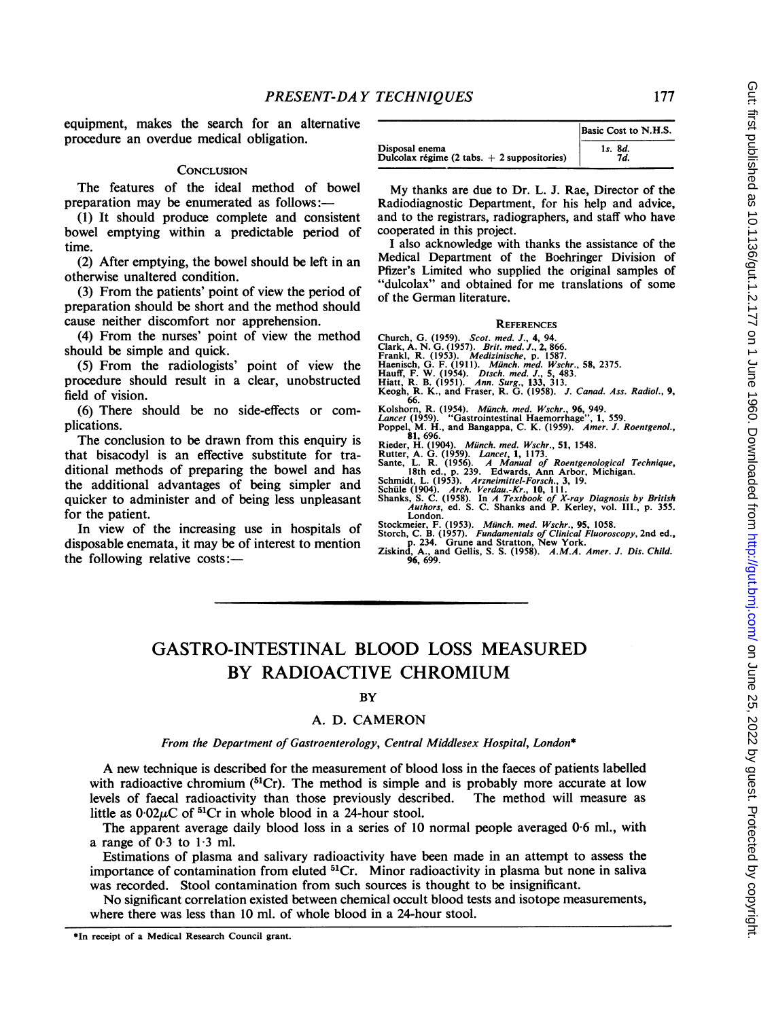equipment, makes the search for an alternative procedure an overdue medical obligation.

#### **CONCLUSION**

The features of the ideal method of bowel preparation may be enumerated as follows:-

(1) It should produce complete and consistent bowel emptying within a predictable period of time.

(2) After emptying, the bowel should be left in an otherwise unaltered condition.

(3) From the patients' point of view the period of preparation should be short and the method should cause neither discomfort nor apprehension.

(4) From the nurses' point of view the method should be simple and quick.

(5) From the radiologists' point of view the procedure should result in a clear, unobstructed field of vision.

(6) There should be no side-effects or complications.

The conclusion to be drawn from this enquiry is that bisacodyl is an effective substitute for traditional methods of preparing the bowel and has the additional advantages of being simpler and quicker to administer and of being less unpleasant for the patient.

In view of the increasing use in hospitals of disposable enemata, it may be of interest to mention the following relative costs:-

|                                               | Basic Cost to N.H.S. |
|-----------------------------------------------|----------------------|
| Disposal enema                                | 1s. 8d.              |
| Dulcolax régime (2 tabs. $+$ 2 suppositories) | 7d.                  |

My thanks are due to Dr. L. J. Rae, Director of the Radiodiagnostic Department, for his help and advice, and to the registrars, radiographers, and staff who have cooperated in this project.

<sup>I</sup> also acknowledge with thanks the assistance of the Medical Department of the Boehringer Division of Pfizer's Limited who supplied the original samples of "dulcolax" and obtained for me translations of some of the German literature.

#### **REFERENCES**

- Church, G. (1959). Scot. med. J., 4, 94.<br>Clark, A. N. G. (1957). *Brit. med. J.*, 2, 866.<br>Frankl, R. (1953). *Medizinische*, p. 1587.<br>Haenisch, G. F. (1911). *Münch. med. Wschr.*, 58, 2375.<br>Hauff, F. W. (1954). *Dtsch. med*
- 
- Kolshorn, R. (1954). *Münch. med. Wschr.*, 96, 949.<br> *Lancet* (1959). "Gastrointestinal Haemorrhage", 1, 559.<br>
Poppel, M. H., and Bangappa, C. K. (1959). *Amer. J. Roentgenol.*, Rieder, H. (1904). *Münch. med. Wschr.*, 51,
- 
- -
- 
- 
- 
- London.<br>Stockmeier, F. (1953). Münch. med. Wschr., 95, 1058.<br>Storch, C. B. (1957). *Fundamentals of Clinical Fluoroscopy*, 2nd ed.,<br>p. 234. Grune and Stratton, New York.<br>Ziskind, A., and Gellis, S. S. (1958). A.M.A. Amer.
- 

# GASTRO-INTESTINAL BLOOD LOSS MEASURED BY RADIOACTIVE CHROMIUM

### **BY**

#### A. D. CAMERON

#### From the Department of Gastroenterology, Central Middlesex Hospital, London\*

A new technique is described for the measurement of blood loss in the faeces of patients labelled with radioactive chromium  $\binom{51}{r}$ . The method is simple and is probably more accurate at low levels of faecal radioactivity than those previously described. The method will measure as little as  $0.02\mu$ C of  ${}^{51}$ Cr in whole blood in a 24-hour stool.

The apparent average daily blood loss in a series of 10 normal people averaged 0-6 ml., with a range of  $0.3$  to  $1.3$  ml.

Estimations of plasma and salivary radioactivity have been made in an attempt to assess the importance of contamination from eluted 51Cr. Minor radioactivity in plasma but none in saliva was recorded. Stool contamination from such sources is thought to be insignificant.

No significant correlation existed between chemical occult blood tests and isotope measurements, where there was less than 10 ml. of whole blood in a 24-hour stool.

<sup>\*</sup>In receipt of a Medical Research Council grant.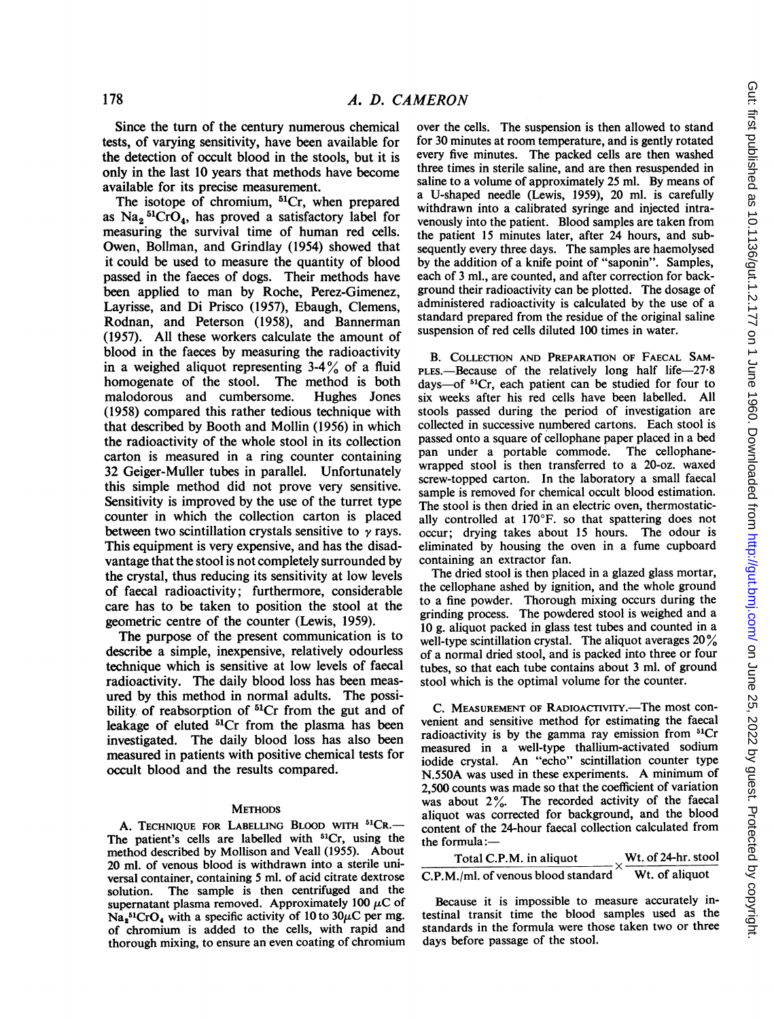Since the turn of the century numerous chemical tests, of varying sensitivity, have been available for the detection of occult blood in the stools, but it is only in the last 10 years that methods have become available for its precise measurement.

The isotope of chromium, <sup>51</sup>Cr, when prepared as Na<sub>2</sub><sup>51</sup>CrO<sub>4</sub>, has proved a satisfactory label for measuring the survival time of human red cells. Owen, Bollman, and Grindlay (1954) showed that it could be used to measure the quantity of blood passed in the faeces of dogs. Their methods have been applied to man by Roche, Perez-Gimenez, Layrisse, and Di Prisco (1957), Ebaugh, Clemens, Rodnan, and Peterson (1958), and Bannerman (1957). All these workers calculate the amount of blood in the faeces by measuring the radioactivity in a weighed aliquot representing  $3-4\%$  of a fluid homogenate of the stool. The method is both malodorous and cumbersome. Hughes Jones (1958) compared this rather tedious technique with that described by Booth and Mollin (1956) in which the radioactivity of the whole stool in its collection carton is measured in a ring counter containing 32 Geiger-Muller tubes in parallel. Unfortunately this simple method did not prove very sensitive. Sensitivity is improved by the use of the turret type counter in which the collection carton is placed between two scintillation crystals sensitive to  $\gamma$  rays. This equipment is very expensive, and has the disadvantage that the stool is not completely surrounded by the crystal, thus reducing its sensitivity at low levels of faecal radioactivity; furthermore, considerable care has to be taken to position the stool at the geometric centre of the counter (Lewis, 1959).

The purpose of the present communication is to describe a simple, inexpensive, relatively odourless technique which is sensitive at low levels of faecal radioactivity. The daily blood loss has been measured by this method in normal adults. The possibility of reabsorption of  ${}^{51}Cr$  from the gut and of leakage of eluted <sup>51</sup>Cr from the plasma has been investigated. The daily blood loss has also been measured in patients with positive chemical tests for occult blood and the results compared.

#### **METHODS**

A. TECHNIQUE FOR LABELLING BLOOD WITH 51CR.-The patient's cells are labelled with <sup>51</sup>Cr, using the method described by Mollison and Veall (1955). About 20 ml. of venous blood is withdrawn into a sterile universal container, containing 5 ml. of acid citrate dextrose solution. The sample is then centrifuged and the supernatant plasma removed. Approximately 100  $\mu$ C of  $\text{Na}_2^{\text{51}}\text{CrO}_4$  with a specific activity of 10 to 30 $\mu$ C per mg. of chromium is added to the cells, with rapid and thorough mixing, to ensure an even coating of chromium

over the cells. The suspension is then allowed to stand for 30 minutes at room temperature, and is gently rotated every five minutes. The packed cells are then washed three times in sterile saline, and are then resuspended in saline to a volume of approximately 25 ml. By means of a U-shaped needle (Lewis, 1959), 20 ml. is carefully withdrawn into a calibrated syringe and injected intravenously into the patient. Blood samples are taken from the patient 15 minutes later, after 24 hours, and subsequently every three days. The samples are haemolysed by the addition of a knife point of "saponin". Samples, each of 3 ml., are counted, and after correction for background their radioactivity can be plotted. The dosage of administered radioactivity is calculated by the use of a standard prepared from the residue of the original saline suspension of red cells diluted 100 times in water.

B. COLLECTION AND PREPARATION OF FAECAL SAM-PLES.—Because of the relatively long half life- $27.8$ days-of 51Cr, each patient can be studied for four to six weeks after his red cells have been labelled. All stools passed during the period of investigation are collected in successive numbered cartons. Each stool is passed onto a square of cellophane paper placed in a bed pan under a portable commode. The cellophanewrapped stool is then transferred to a 20-oz. waxed screw-topped carton. In the laboratory a small faecal sample is removed for chemical occult blood estimation. The stool is then dried in an electric oven, thermostatically controlled at 170°F. so that spattering does not occur; drying takes about 15 hours. The odour is eliminated by housing the oven in a fume cupboard containing an extractor fan.

The dried stool is then placed in a glazed glass mortar, the cellophane ashed by ignition, and the whole ground to a fine powder. Thorough mixing occurs during the grinding process. The powdered stool is weighed and a 10 g. aliquot packed in glass test tubes and counted in a well-type scintillation crystal. The aliquot averages  $20\%$ of a normal dried stool, and is packed into three or four tubes, so that each tube contains about 3 ml. of ground stool which is the optimal volume for the counter.

C. MEASUREMENT OF RADIOACTIVITY.-The most convenient and sensitive method for estimating the faecal radioactivity is by the gamma ray emission from <sup>51</sup>Cr measured in a well-type thallium-activated sodium iodide crystal. An "echo" scintillation counter type N.550A was used in these experiments. A minimum of 2,500 counts was made so that the coefficient of variation was about 2%. The recorded activity of the faecal aliquot was corrected for background, and the blood content of the 24-hour faecal collection calculated from the formula:

| Total C.P.M. in aliquot             | Wt. of 24-hr. stool |
|-------------------------------------|---------------------|
| C.P.M./ml. of venous blood standard | Wt. of aliquot      |

Because it is impossible to measure accurately intestinal transit time the blood samples used as the standards in the formula were those taken two or three days before passage of the stool.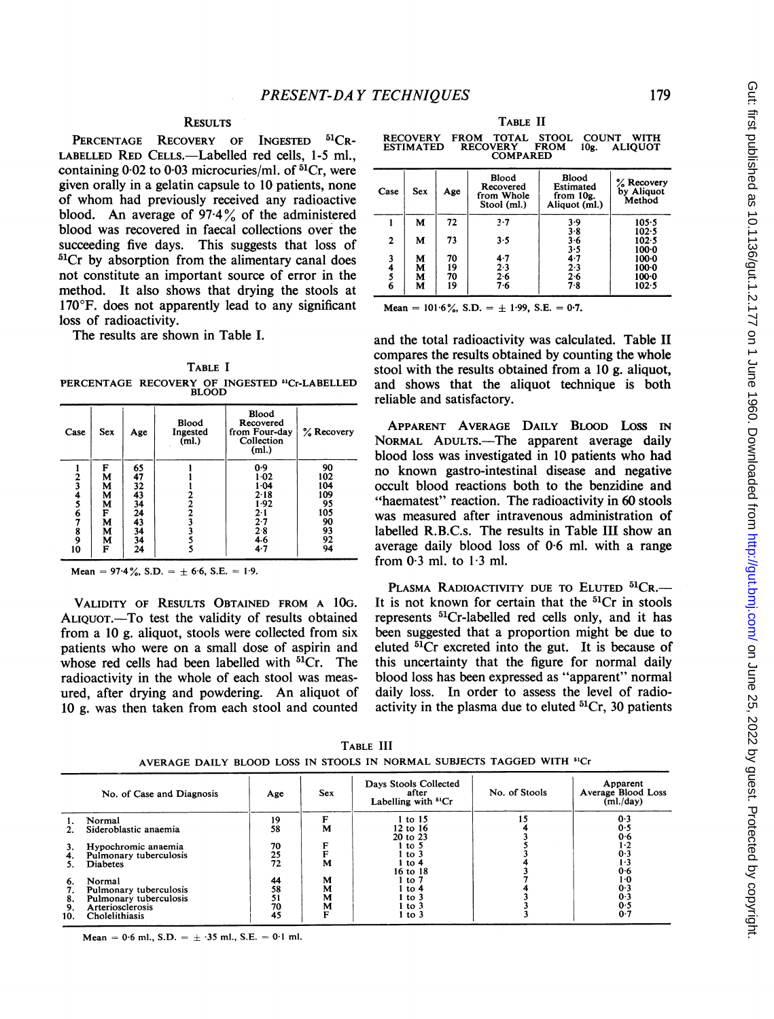### **RESULTS**

PERCENTAGE RECOVERY OF INGESTED <sup>51</sup>CR-LABELLED RED CELLS.-Labelled red cells, 1-5 ml., containing  $0.02$  to  $0.03$  microcuries/ml. of  ${}^{51}Cr$ , were given orally in a gelatin capsule to 10 patients, none of whom had previously received any radioactive blood. An average of  $97.4\%$  of the administered blood was recovered in faecal collections over the succeeding five days. This suggests that loss of  ${}^{51}Cr$  by absorption from the alimentary canal does not constitute an important source of error in the method. It also shows that drying the stools at 170°F. does not apparently lead to any significant loss of radioactivity.

The results are shown in Table I.

PERCENTAGE RECOVERY OF INGESTED <sup>51</sup>Cr-LABELLED BLOOD TABLE <sup>I</sup>

| Case                                         | <b>Sex</b>                                     | Age                                                             | Blood<br>Ingested<br>(ml.) | <b>Blood</b><br>Recovered<br>from Four-day<br>Collection<br>(ml.)                    | % Recovery                                                   |
|----------------------------------------------|------------------------------------------------|-----------------------------------------------------------------|----------------------------|--------------------------------------------------------------------------------------|--------------------------------------------------------------|
| $\frac{2}{3}$<br>4567<br>$\frac{8}{9}$<br>10 | F<br>M<br>M<br>M<br>M<br>F<br>M<br>М<br>М<br>F | 65<br>47<br>32<br>43<br>34<br>24<br>$\frac{43}{34}$<br>34<br>24 | $\overline{2}$<br>3        | 0.9<br>$1-02$<br>1.04<br>$2 - 18$<br>1.92<br>$2 - 1$<br>2.7<br>2.8<br>4.6<br>$4 - 7$ | 90<br>102<br>104<br>109<br>95<br>105<br>90<br>93<br>92<br>94 |

Mean =  $97.4\%$ , S.D. =  $\pm$  6.6, S.E. = 1.9.

VALIDITY OF RESULTS OBTAINED FROM A <sup>1</sup>OG. ALIQUOT.—To test the validity of results obtained from a 10 g. aliquot, stools were collected from six patients who were on a small dose of aspirin and whose red cells had been labelled with <sup>51</sup>Cr. The radioactivity in the whole of each stool was measured, after drying and powdering. An aliquot of 10 g. was then taken from each stool and counted

TABLE 1I

RECOVERY FROM TOTAL STOOL COUNT WITH ESTIMATED RECOVERY FROM 10g. ALIQUOT COMPARED

| Case             | <b>Sex</b>       | Age                  | Blood<br>Recovered<br>from Whole<br>Stool (ml.) | Blood<br>Estimated<br>from 10g.<br>Aliquot (ml.) | % Recovery<br>by Aliquot<br>Method                |
|------------------|------------------|----------------------|-------------------------------------------------|--------------------------------------------------|---------------------------------------------------|
|                  | М                | 72                   | $3 - 7$                                         | 3.9                                              | $105 - 5$                                         |
| $\overline{2}$   | М                | 73                   | 3.5                                             | $3 - 8$<br>3.6                                   | $102 - 5$<br>102.5                                |
| 3<br>4<br>s<br>6 | М<br>M<br>М<br>M | 70<br>19<br>70<br>19 | $4-7$<br>2.3<br>$2.6$<br>7.6                    | 3.5<br>4.7<br>2.3<br>$2 - 6$<br>7.8              | $100-0$<br>$100-0$<br>$100-0$<br>$100-0$<br>102.5 |

Mean =  $101.6\%$ , S.D. =  $\pm$  1.99, S.E. = 0.7.

and the total radioactivity was calculated. Table II compares the results obtained by counting the whole stool with the results obtained from a 10 g. aliquot, and shows that the aliquot technique is both reliable and satisfactory.

APPARENT AVERAGE DAILY BLOOD LOSS IN NORMAL ADULTS.-The apparent average daily blood loss was investigated in 10 patients who had no known gastro-intestinal disease and negative occult blood reactions both to the benzidine and "haematest" reaction. The radioactivity in 60 stools was measured after intravenous administration of labelled R.B.C.s. The results in Table III show an average daily blood loss of 0-6 ml. with a range from  $0.3$  ml. to  $1.3$  ml.

PLASMA RADIOACTIVITY DUE TO ELUTED <sup>51</sup>CR.-It is not known for certain that the  ${}^{51}Cr$  in stools represents 51Cr-labelled red cells only, and it has been suggested that a proportion might be due to eluted 51Cr excreted into the gut. It is because of this uncertainty that the figure for normal daily blood loss has been expressed as "apparent" normal daily loss. In order to assess the level of radioactivity in the plasma due to eluted  ${}^{51}Cr$ , 30 patients

| No. of Case and Diagnosis |                        | Age                                           | Sex | Days Stools Collected<br>after<br>Labelling with <sup>51</sup> Cr | No. of Stools | Apparent<br>Average Blood Loss<br>(ml./day) |  |
|---------------------------|------------------------|-----------------------------------------------|-----|-------------------------------------------------------------------|---------------|---------------------------------------------|--|
|                           | Normal                 | 19                                            | F   | $1$ to $15$                                                       |               | 0.3                                         |  |
|                           | Sideroblastic anaemia  | 58                                            | М   | 12 to 16<br>20 to 23                                              |               | 0.5<br>0.6                                  |  |
|                           | Hypochromic anaemia    |                                               |     | $1$ to 5                                                          |               | $1-2$                                       |  |
| 4.                        | Pulmonary tuberculosis |                                               |     | l to 3                                                            |               | 0.3                                         |  |
|                           | <b>Diabetes</b>        | $\begin{array}{c} 70 \\ 25 \\ 72 \end{array}$ | М   | l to 4<br>16 to 18                                                |               | $1-3$<br>0.6                                |  |
| -6.                       | Normal                 | 44                                            | м   | to 7                                                              |               | 1.0                                         |  |
|                           | Pulmonary tuberculosis | 58                                            | М   | to 4                                                              |               | 0.3                                         |  |
| 8.                        | Pulmonary tuberculosis | 51                                            | м   | to 3                                                              |               | 0.3                                         |  |
| -9.                       | Arteriosclerosis       | 70                                            | M   | to 3                                                              |               | 0.5                                         |  |
| 10.                       | Cholelithiasis         | 45                                            | F   | 1 to 3                                                            |               | 0.7                                         |  |

TABLE III AVERAGE DAILY BLOOD LOSS IN STOOLS IN NORMAL SUBJECTS TAGGED WITH <sup>51</sup>Cr

Mean = 0.6 ml., S.D. =  $\pm$  .35 ml., S.E. = 0.1 ml.

179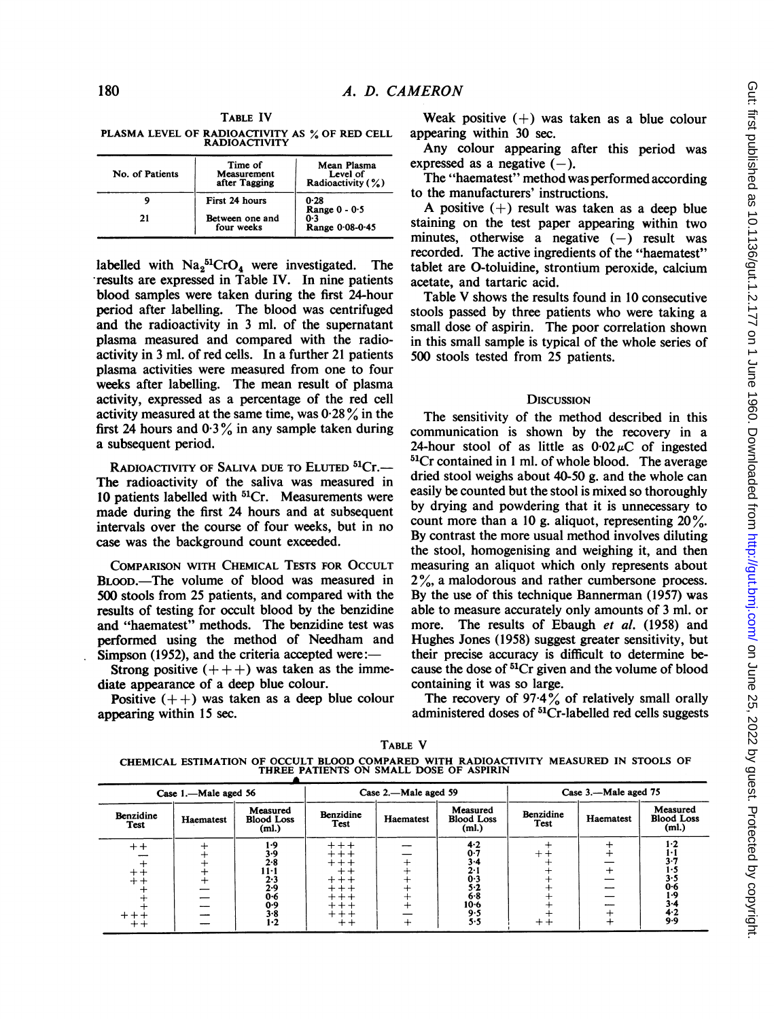TABLE IV PLASMA LEVEL OF RADIOACTIVITY AS % OF RED CELL RADIOACTIVITY

| No. of Patients | Time of<br>Measurement<br>after Tagging | Mean Plasma<br>Level of<br>Radioactivity (%) |
|-----------------|-----------------------------------------|----------------------------------------------|
| q               | First 24 hours                          | 0.28                                         |
| 21              | Between one and<br>four weeks           | Range $0 - 0.5$<br>0.3<br>Range 0.08-0.45    |

labelled with  $Na<sub>2</sub>^{51}CrO<sub>4</sub>$  were investigated. The .results are expressed in Table IV. In nine patients blood samples were taken during the first 24-hour period after labelling. The blood was centrifuged and the radioactivity in 3 ml. of the supernatant plasma measured and compared with the radioactivity in 3 ml. of red cells. In a further 21 patients plasma activities were measured from one to four weeks after labelling. The mean result of plasma activity, expressed as a percentage of the red cell activity measured at the same time, was  $0.28\%$  in the first 24 hours and  $0.3\%$  in any sample taken during a subsequent period.

RADIOACTIVITY OF SALIVA DUE TO ELUTED <sup>51</sup>Cr.-The radioactivity of the saliva was measured in 10 patients labelled with <sup>51</sup>Cr. Measurements were made during the first 24 hours and at subsequent intervals over the course of four weeks, but in no case was the background count exceeded.

COMPARISON WITH CHEMICAL TESTS FOR OCCULT BLOOD.-The volume of blood was measured in 500 stools from 25 patients, and compared with the results of testing for occult blood by the benzidine and "haematest" methods. The benzidine test was performed using the method of Needham and Simpson (1952), and the criteria accepted were:

Strong positive  $(++)$  was taken as the immediate appearance of a deep blue colour.

Positive  $(++)$  was taken as a deep blue colour appearing within 15 sec.

Weak positive  $(+)$  was taken as a blue colour appearing within 30 sec.

Any colour appearing after this period was expressed as a negative  $(-)$ .

The "haematest" method was performed according to the manufacturers' instructions.

A positive  $(+)$  result was taken as a deep blue staining on the test paper appearing within two minutes, otherwise a negative  $(-)$  result was recorded. The active ingredients of the "haematest" tablet are 0-toluidine, strontium peroxide, calcium acetate, and tartaric acid.

Table V shows the results found in <sup>10</sup> consecutive stools passed by three patients who were taking a small dose of aspirin. The poor correlation shown in this small sample is typical of the whole series of 500 stools tested from 25 patients.

#### **DISCUSSION**

The sensitivity of the method described in this communication is shown by the recovery in a 24-hour stool of as little as  $0.02 \mu C$  of ingested 51Cr contained in <sup>1</sup> ml. of whole blood. The average dried stool weighs about 40-50 g. and the whole can easily be counted but the stool is mixed so thoroughly by drying and powdering that it is unnecessary to count more than a 10 g. aliquot, representing  $20\%$ . By contrast the more usual method involves diluting the stool, homogenising and weighing it, and then measuring an aliquot which only represents about 2%, a malodorous and rather cumbersone process. By the use of this technique Bannerman (1957) was able to measure accurately only amounts of 3 ml. or more. The results of Ebaugh et al. (1958) and Hughes Jones (1958) suggest greater sensitivity, but their precise accuracy is difficult to determine because the dose of 51Cr given and the volume of blood containing it was so large.

The recovery of  $97.4\%$  of relatively small orally administered doses of <sup>51</sup>Cr-labelled red cells suggests

| TARLE V                                                                                                                          |  |  |
|----------------------------------------------------------------------------------------------------------------------------------|--|--|
| CHEMICAL ESTIMATION OF OCCULT BLOOD COMPARED WITH RADIOACTIVITY MEASURED IN STOOLS OF<br>THREE PATIENTS ON SMALL DOSE OF ASPIRIN |  |  |

| Case 1.-Male aged 56             |           |                                                                               | Case 2.—Male aged 59      |           |                                                                           | Case 3.-Male aged 75 |           |                                        |
|----------------------------------|-----------|-------------------------------------------------------------------------------|---------------------------|-----------|---------------------------------------------------------------------------|----------------------|-----------|----------------------------------------|
| Benzidine<br><b>Test</b>         | Haematest | Measured<br><b>Blood Loss</b><br>(ml.)                                        | Benzidine<br>Test         | Haematest | Measured<br><b>Blood Loss</b><br>(ml.)                                    | Benzidine<br>Test    | Haematest | Measured<br><b>Blood Loss</b><br>(ml.) |
| $^+$<br>$^{\mathrm{+}}$<br>$+ +$ |           | 1.9<br>3.9<br>$2 - 8$<br>11-1<br>2.3<br>2.9<br>0.6<br>0.9<br>$3 - 8$<br>$1-2$ | $++++$<br>$++++$<br>$+ +$ |           | $4 - 2$<br>0.7<br>3-4<br>2.1<br>0.3<br>5.2<br>6.8<br>$10-6$<br>9.5<br>5.5 | $+ +$                |           | 1.7<br>0.6<br>1.9<br>3.4<br>4.2<br>9.9 |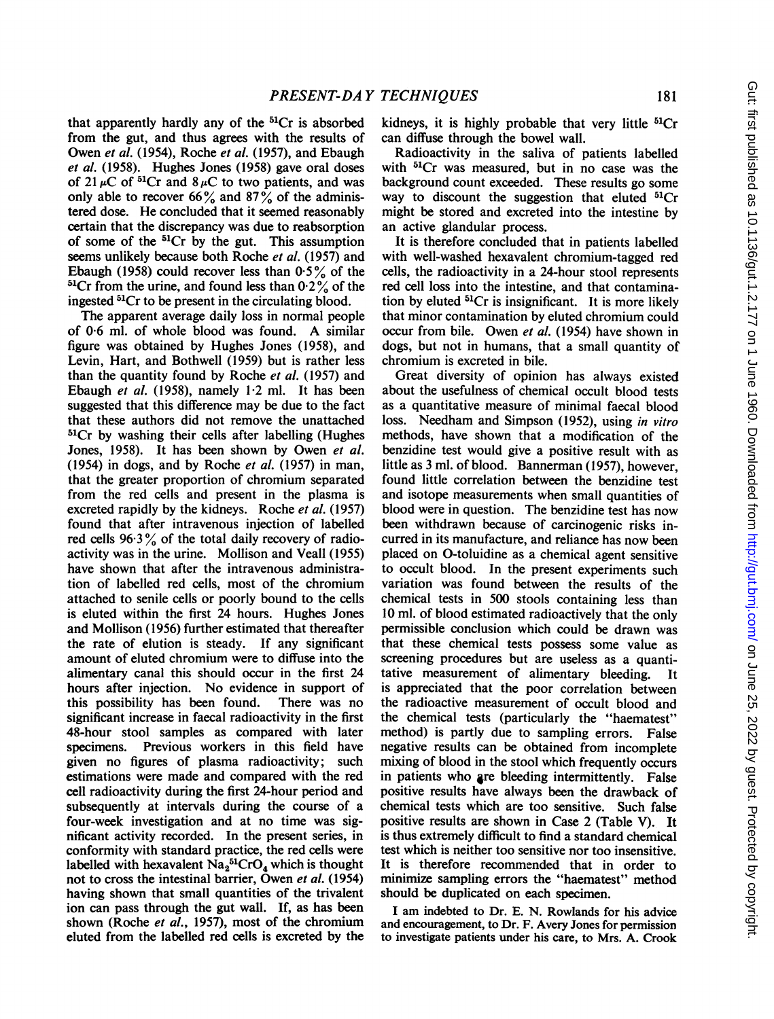that apparently hardly any of the  ${}^{51}Cr$  is absorbed from the gut, and thus agrees with the results of Owen et al. (1954), Roche et al. (1957), and Ebaugh et al. (1958). Hughes Jones (1958) gave oral doses of 21  $\mu$ C of <sup>51</sup>Cr and 8  $\mu$ C to two patients, and was only able to recover 66% and 87% of the administered dose. He concluded that it seemed reasonably certain that the discrepancy was due to reabsorption of some of the  ${}^{51}Cr$  by the gut. This assumption seems unlikely because both Roche et al. (1957) and Ebaugh (1958) could recover less than  $0.5\%$  of the <sup>51</sup>Cr from the urine, and found less than  $0.2\%$  of the ingested 51Cr to be present in the circulating blood.

The apparent average daily loss in normal people of 0-6 ml. of whole blood was found. A similar figure was obtained by Hughes Jones (1958), and Levin, Hart, and Bothwell (1959) but is rather less than the quantity found by Roche et al. (1957) and Ebaugh et al.  $(1958)$ , namely 1.2 ml. It has been suggested that this difference may be due to the fact that these authors did not remove the unattached 51Cr by washing their cells after labelling (Hughes Jones, 1958). It has been shown by Owen et al. (1954) in dogs, and by Roche et al.  $(1957)$  in man, that the greater proportion of chromium separated from the red cells and present in the plasma is excreted rapidly by the kidneys. Roche et al. (1957) found that after intravenous injection of labelled red cells  $96.3\%$  of the total daily recovery of radioactivity was in the urine. Mollison and Veall (1955) have shown that after the intravenous administration of labelled red cells, most of the chromium attached to senile cells or poorly bound to the cells is eluted within the first 24 hours. Hughes Jones and Mollison (1956) further estimated that thereafter the rate of elution is steady. If any significant amount of eluted chromium were to diffuse into the alimentary canal this should occur in the first 24 hours after injection. No evidence in support of this possibility has been found. There was no this possibility has been found. significant increase in faecal radioactivity in the first 48-hour stool samples as compared with later specimens. Previous workers in this field have given no figures of plasma radioactivity; such estimations were made and compared with the red cell radioactivity during the first 24-hour period and subsequently at intervals during the course of a four-week investigation and at no time was significant activity recorded. In the present series, in conformity with standard practice, the red cells were labelled with hexavalent  $\text{Na}_2{}^{51}\text{CrO}_4$  which is thought not to cross the intestinal barrier, Owen et al.  $(1954)$ having shown that small quantities of the trivalent ion can pass through the gut wall. If, as has been shown (Roche et al., 1957), most of the chromium eluted from the labelled red cells is excreted by the

kidneys, it is highly probable that very little  ${}^{51}Cr$ can diffuse through the bowel wall.

Radioactivity in the saliva of patients labelled with <sup>51</sup>Cr was measured, but in no case was the background count exceeded. These results go some way to discount the suggestion that eluted  ${}^{51}Cr$ might be stored and excreted into the intestine by an active glandular process.

It is therefore concluded that in patients labelled with well-washed hexavalent chromium-tagged red cells, the radioactivity in a 24-hour stool represents red cell loss into the intestine, and that contamination by eluted 51Cr is insignificant. It is more likely that minor contamination by eluted chromium could occur from bile. Owen et al. (1954) have shown in dogs, but not in humans, that a small quantity of chromium is excreted in bile.

Great diversity of opinion has always existed about the usefulness of chemical occult blood tests as a quantitative measure of minimal faecal blood loss. Needham and Simpson (1952), using in vitro methods, have shown that a modification of the benzidine test would give a positive result with as little as 3 ml. of blood. Bannerman (1957), however, found little correlation between the benzidine test and isotope measurements when small quantities of blood were in question. The benzidine test has now been withdrawn because of carcinogenic risks incurred in its manufacture, and reliance has now been placed on 0-toluidine as a chemical agent sensitive to occult blood. In the present experiments such variation was found between the results of the chemical tests in 500 stools containing less than 10 ml. of blood estimated radioactively that the only permissible conclusion which could be drawn was that these chemical tests possess some value as screening procedures but are useless as a quantitative measurement of alimentary bleeding. It is appreciated that the poor correlation between the radioactive measurement of occult blood and the chemical tests (particularly the "haematest" method) is partly due to sampling errors. False negative results can be obtained from incomplete mixing of blood in the stool which frequently occurs in patients who are bleeding intermittently. False positive results have always been the drawback of chemical tests which are too sensitive. Such false positive results are shown in Case 2 (Table V). It is thus extremely difficult to find a standard chemical test which is neither too sensitive nor too insensitive. It is therefore recommended that in order to minimize sampling errors the "haematest" method should be duplicated on each specimen.

<sup>I</sup> am indebted to Dr. E. N. Rowlands for his advice and encouragement, to Dr. F. Avery Jones for permission to investigate patients under his care, to Mrs. A. Crook